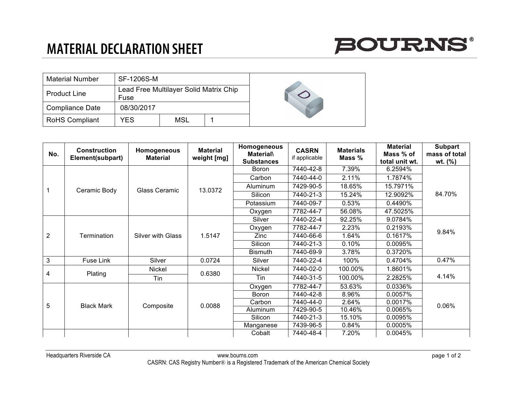## **MATERIAL DECLARATION SHEET**



| <b>Material Number</b> | SF-1206S-M                                     |     |  |  |
|------------------------|------------------------------------------------|-----|--|--|
| <b>Product Line</b>    | Lead Free Multilayer Solid Matrix Chip<br>Fuse |     |  |  |
| <b>Compliance Date</b> | 08/30/2017                                     |     |  |  |
| <b>RoHS Compliant</b>  | YES                                            | MSL |  |  |

| No.            | <b>Construction</b><br>Element(subpart) | Homogeneous<br><b>Material</b> | <b>Material</b><br>weight [mg] | Homogeneous<br><b>Material\</b><br><b>Substances</b> | <b>CASRN</b><br>if applicable | <b>Materials</b><br>Mass % | <b>Material</b><br>Mass % of<br>total unit wt. | <b>Subpart</b><br>mass of total<br>wt. (%) |
|----------------|-----------------------------------------|--------------------------------|--------------------------------|------------------------------------------------------|-------------------------------|----------------------------|------------------------------------------------|--------------------------------------------|
|                | Ceramic Body                            | Glass Ceramic                  | 13.0372                        | Boron                                                | 7440-42-8                     | 7.39%                      | 6.2594%                                        | 84.70%                                     |
|                |                                         |                                |                                | Carbon                                               | 7440-44-0                     | 2.11%                      | 1.7874%                                        |                                            |
|                |                                         |                                |                                | Aluminum                                             | 7429-90-5                     | 18.65%                     | 15.7971%                                       |                                            |
|                |                                         |                                |                                | Silicon                                              | 7440-21-3                     | 15.24%                     | 12.9092%                                       |                                            |
|                |                                         |                                |                                | Potassium                                            | 7440-09-7                     | 0.53%                      | 0.4490%                                        |                                            |
|                |                                         |                                |                                | Oxygen                                               | 7782-44-7                     | 56.08%                     | 47.5025%                                       |                                            |
| $\overline{2}$ |                                         | <b>Silver with Glass</b>       | 1.5147                         | Silver                                               | 7440-22-4                     | 92.25%                     | 9.0784%                                        | 9.84%                                      |
|                |                                         |                                |                                | Oxygen                                               | 7782-44-7                     | 2.23%                      | 0.2193%                                        |                                            |
|                | Termination                             |                                |                                | Zinc                                                 | 7440-66-6                     | 1.64%                      | 0.1617%                                        |                                            |
|                |                                         |                                |                                | Silicon                                              | 7440-21-3                     | 0.10%                      | 0.0095%                                        |                                            |
|                |                                         |                                |                                | <b>Bismuth</b>                                       | 7440-69-9                     | 3.78%                      | 0.3720%                                        |                                            |
| 3              | Fuse Link                               | Silver                         | 0.0724                         | Silver                                               | 7440-22-4                     | 100%                       | 0.4704%                                        | 0.47%                                      |
| 4              | Plating                                 | Nickel                         | 0.6380                         | Nickel                                               | 7440-02-0                     | 100.00%                    | 1.8601%                                        | 4.14%                                      |
|                |                                         | Tin                            |                                | Tin                                                  | 7440-31-5                     | 100.00%                    | 2.2825%                                        |                                            |
| 5              | <b>Black Mark</b>                       | Composite                      | 0.0088                         | Oxygen                                               | 7782-44-7                     | 53.63%                     | 0.0336%                                        | 0.06%                                      |
|                |                                         |                                |                                | Boron                                                | 7440-42-8                     | 8.96%                      | 0.0057%                                        |                                            |
|                |                                         |                                |                                | Carbon                                               | 7440-44-0                     | 2.64%                      | 0.0017%                                        |                                            |
|                |                                         |                                |                                | Aluminum                                             | 7429-90-5                     | 10.46%                     | 0.0065%                                        |                                            |
|                |                                         |                                |                                | Silicon                                              | 7440-21-3                     | 15.10%                     | 0.0095%                                        |                                            |
|                |                                         |                                |                                | Manganese                                            | 7439-96-5                     | 0.84%                      | 0.0005%                                        |                                            |
|                |                                         |                                |                                | Cobalt                                               | 7440-48-4                     | 7.20%                      | 0.0045%                                        |                                            |